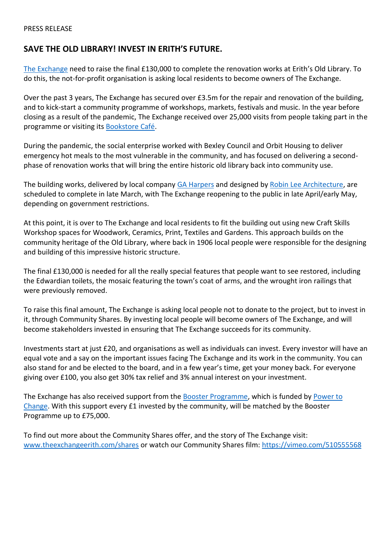# **SAVE THE OLD LIBRARY! INVEST IN ERITH'S FUTURE.**

[The Exchange](https://www.theexchangeerith.com/) need to raise the final £130,000 to complete the renovation works at Erith's Old Library. To do this, the not-for-profit organisation is asking local residents to become owners of The Exchange.

Over the past 3 years, The Exchange has secured over £3.5m for the repair and renovation of the building, and to kick-start a community programme of workshops, markets, festivals and music. In the year before closing as a result of the pandemic, The Exchange received over 25,000 visits from people taking part in the programme or visiting it[s Bookstore Café.](https://www.theexchangeerith.com/about-bookstore)

During the pandemic, the social enterprise worked with Bexley Council and Orbit Housing to deliver emergency hot meals to the most vulnerable in the community, and has focused on delivering a secondphase of renovation works that will bring the entire historic old library back into community use.

The building works, delivered by local company [GA Harpers](https://www.gaharpers.com/) and designed by [Robin Lee Architecture,](http://www.robinleearchitecture.com/) are scheduled to complete in late March, with The Exchange reopening to the public in late April/early May, depending on government restrictions.

At this point, it is over to The Exchange and local residents to fit the building out using new Craft Skills Workshop spaces for Woodwork, Ceramics, Print, Textiles and Gardens. This approach builds on the community heritage of the Old Library, where back in 1906 local people were responsible for the designing and building of this impressive historic structure.

The final £130,000 is needed for all the really special features that people want to see restored, including the Edwardian toilets, the mosaic featuring the town's coat of arms, and the wrought iron railings that were previously removed.

To raise this final amount, The Exchange is asking local people not to donate to the project, but to invest in it, through Community Shares. By investing local people will become owners of The Exchange, and will become stakeholders invested in ensuring that The Exchange succeeds for its community.

Investments start at just £20, and organisations as well as individuals can invest. Every investor will have an equal vote and a say on the important issues facing The Exchange and its work in the community. You can also stand for and be elected to the board, and in a few year's time, get your money back. For everyone giving over £100, you also get 30% tax relief and 3% annual interest on your investment.

The Exchange has also received support from the [Booster Programme,](https://communitysharesbooster.org.uk/) which is funded by [Power to](https://www.powertochange.org.uk/)  [Change.](https://www.powertochange.org.uk/) With this support every £1 invested by the community, will be matched by the Booster Programme up to £75,000.

To find out more about the Community Shares offer, and the story of The Exchange visit: [www.theexchangeerith.com/shares](http://www.theexchangeerith.com/shares) or watch our Community Shares film:<https://vimeo.com/510555568>